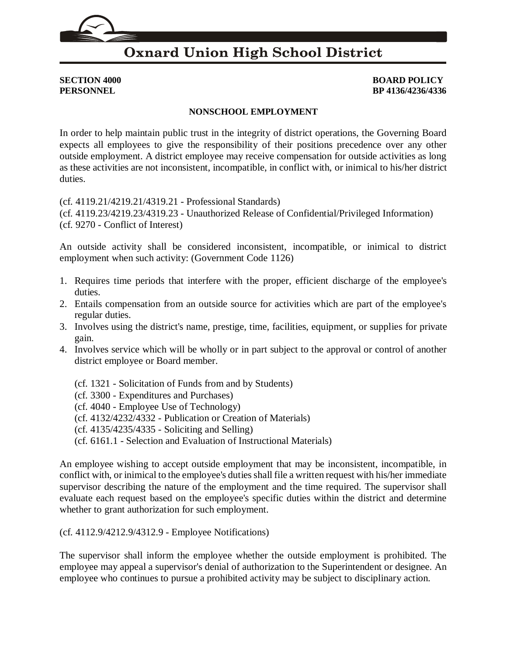# **Oxnard Union High School District**

**SECTION 4000 BOARD POLICY PERSONNEL BP 4136/4236/4336**

### **NONSCHOOL EMPLOYMENT**

In order to help maintain public trust in the integrity of district operations, the Governing Board expects all employees to give the responsibility of their positions precedence over any other outside employment. A district employee may receive compensation for outside activities as long as these activities are not inconsistent, incompatible, in conflict with, or inimical to his/her district duties.

(cf. [4119.21](http://gamutonline.net/displayPolicy/929967/4)[/4219.21](http://gamutonline.net/displayPolicy/929968/4)[/4319.21](http://gamutonline.net/displayPolicy/929969/4) - Professional Standards)

(cf. [4119.23](http://gamutonline.net/displayPolicy/303903/4)[/4219.23](http://gamutonline.net/displayPolicy/321731/4)[/4319.23](http://gamutonline.net/displayPolicy/321732/4) - Unauthorized Release of Confidential/Privileged Information) (cf. [9270](http://gamutonline.net/displayPolicy/368018/4) - Conflict of Interest)

An outside activity shall be considered inconsistent, incompatible, or inimical to district employment when such activity: (Government Code [1126\)](http://gamutonline.net/displayPolicy/144375/4)

- 1. Requires time periods that interfere with the proper, efficient discharge of the employee's duties.
- 2. Entails compensation from an outside source for activities which are part of the employee's regular duties.
- 3. Involves using the district's name, prestige, time, facilities, equipment, or supplies for private gain.
- 4. Involves service which will be wholly or in part subject to the approval or control of another district employee or Board member.
	- (cf. 1321 Solicitation of Funds from and by Students)
	- (cf. [3300](http://gamutonline.net/displayPolicy/171207/4) Expenditures and Purchases)
	- (cf. [4040](http://gamutonline.net/displayPolicy/244944/4) Employee Use of Technology)
	- (cf. [4132/](http://gamutonline.net/displayPolicy/170785/4)[4232/](http://gamutonline.net/displayPolicy/171307/4)[4332](http://gamutonline.net/displayPolicy/171308/4) Publication or Creation of Materials)
	- (cf. [4135/](http://gamutonline.net/displayPolicy/303905/4)[4235/](http://gamutonline.net/displayPolicy/321739/4)[4335](http://gamutonline.net/displayPolicy/321740/4) Soliciting and Selling)
	- (cf. [6161.1](http://gamutonline.net/displayPolicy/931151/4) Selection and Evaluation of Instructional Materials)

An employee wishing to accept outside employment that may be inconsistent, incompatible, in conflict with, or inimical to the employee's duties shall file a written request with his/her immediate supervisor describing the nature of the employment and the time required. The supervisor shall evaluate each request based on the employee's specific duties within the district and determine whether to grant authorization for such employment.

(cf. [4112.9](http://gamutonline.net/displayPolicy/929964/4)[/4212.9/](http://gamutonline.net/displayPolicy/929965/4)4312.9 - Employee Notifications)

The supervisor shall inform the employee whether the outside employment is prohibited. The employee may appeal a supervisor's denial of authorization to the Superintendent or designee. An employee who continues to pursue a prohibited activity may be subject to disciplinary action.